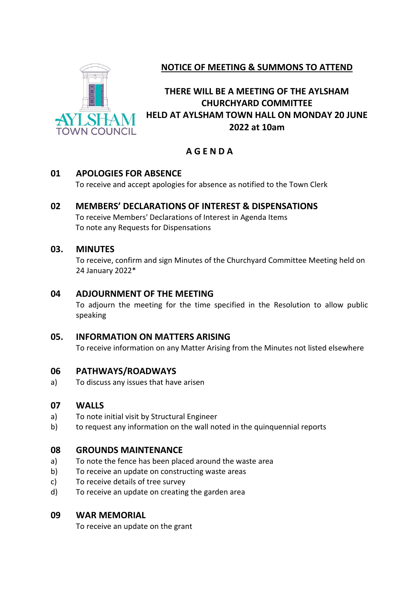

# **NOTICE OF MEETING & SUMMONS TO ATTEND**

# **THERE WILL BE A MEETING OF THE AYLSHAM CHURCHYARD COMMITTEE HELD AT AYLSHAM TOWN HALL ON MONDAY 20 JUNE 2022 at 10am**

# **A G E N D A**

## **01 APOLOGIES FOR ABSENCE**

To receive and accept apologies for absence as notified to the Town Clerk

## **02 MEMBERS' DECLARATIONS OF INTEREST & DISPENSATIONS**

To receive Members' Declarations of Interest in Agenda Items To note any Requests for Dispensations

## **03. MINUTES**

To receive, confirm and sign Minutes of the Churchyard Committee Meeting held on 24 January 2022\*

## **04 ADJOURNMENT OF THE MEETING**

To adjourn the meeting for the time specified in the Resolution to allow public speaking

## **05. INFORMATION ON MATTERS ARISING**

To receive information on any Matter Arising from the Minutes not listed elsewhere

## **06 PATHWAYS/ROADWAYS**

a) To discuss any issues that have arisen

## **07 WALLS**

- a) To note initial visit by Structural Engineer
- b) to request any information on the wall noted in the quinquennial reports

## **08 GROUNDS MAINTENANCE**

- a) To note the fence has been placed around the waste area
- b) To receive an update on constructing waste areas
- c) To receive details of tree survey
- d) To receive an update on creating the garden area

## **09 WAR MEMORIAL**

To receive an update on the grant